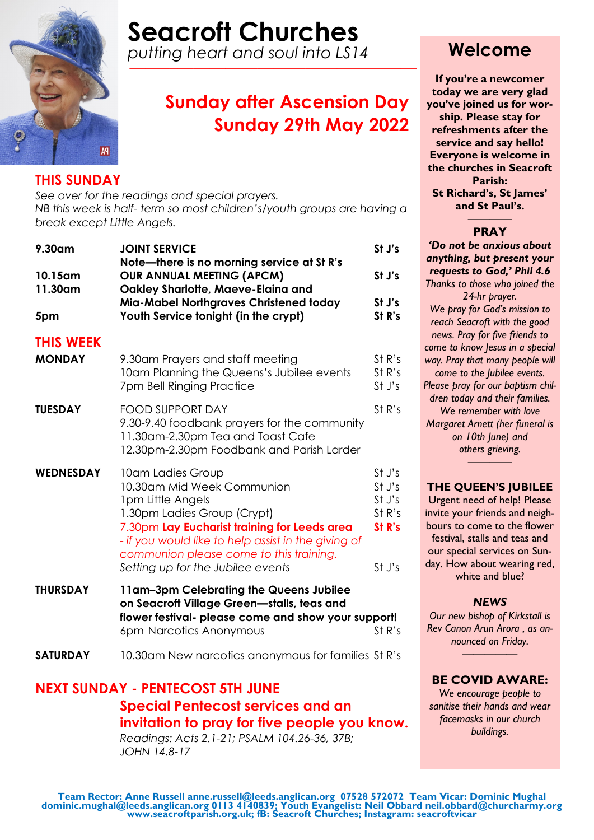

# **Seacroft Churches**

*putting heart and soul into LS14 —–—–———————————————*

# **Sunday after Ascension Day Sunday 29th May 2022**

### **THIS SUNDAY**

*See over for the readings and special prayers. NB this week is half- term so most children's/youth groups are having a break except Little Angels.*

| 9.30am             | <b>JOINT SERVICE</b><br>Note-there is no morning service at St R's                                                                                                                                                                                                                         | St J's                                                   |
|--------------------|--------------------------------------------------------------------------------------------------------------------------------------------------------------------------------------------------------------------------------------------------------------------------------------------|----------------------------------------------------------|
| 10.15am<br>11.30am | <b>OUR ANNUAL MEETING (APCM)</b><br>Oakley Sharlotte, Maeve-Elaina and                                                                                                                                                                                                                     | St J's                                                   |
| 5pm                | Mia-Mabel Northgraves Christened today<br>Youth Service tonight (in the crypt)                                                                                                                                                                                                             | St J's<br>St R's                                         |
| <b>THIS WEEK</b>   |                                                                                                                                                                                                                                                                                            |                                                          |
| <b>MONDAY</b>      | 9.30am Prayers and staff meeting<br>10am Planning the Queens's Jubilee events<br>7pm Bell Ringing Practice                                                                                                                                                                                 | St R's<br>St R's<br>St J's                               |
| <b>TUESDAY</b>     | <b>FOOD SUPPORT DAY</b><br>9.30-9.40 foodbank prayers for the community<br>11.30am-2.30pm Tea and Toast Cafe<br>12.30pm-2.30pm Foodbank and Parish Larder                                                                                                                                  | St R's                                                   |
| <b>WEDNESDAY</b>   | 10am Ladies Group<br>10.30am Mid Week Communion<br>1pm Little Angels<br>1.30pm Ladies Group (Crypt)<br>7.30pm Lay Eucharist training for Leeds area<br>- if you would like to help assist in the giving of<br>communion please come to this training.<br>Setting up for the Jubilee events | St J's<br>St J's<br>St J's<br>St R's<br>St R's<br>St J's |
| <b>THURSDAY</b>    | 11am-3pm Celebrating the Queens Jubilee<br>on Seacroft Village Green-stalls, teas and<br>flower festival- please come and show your support!                                                                                                                                               |                                                          |

**SATURDAY** 10.30am New narcotics anonymous for families St R's

6pm Narcotics Anonymous St R's

### **NEXT SUNDAY - PENTECOST 5TH JUNE Special Pentecost services and an invitation to pray for five people you know.**  *Readings: Acts 2.1-21; PSALM 104.26-36, 37B;*

*JOHN 14.8-17*

### **Welcome**

**If you're a newcomer today we are very glad you've joined us for worship. Please stay for refreshments after the service and say hello! Everyone is welcome in the churches in Seacroft Parish: St Richard's, St James' and St Paul's.**

#### ———— **PRAY**

*'Do not be anxious about anything, but present your requests to God,' Phil 4.6 Thanks to those who joined the 24-hr prayer. We pray for God's mission to reach Seacroft with the good news. Pray for five friends to come to know Jesus in a special way. Pray that many people will come to the Jubilee events. Please pray for our baptism children today and their families. We remember with love Margaret Arnett (her funeral is on 10th June) and others grieving.*

#### **THE QUEEN'S JUBILEE**

*————*

Urgent need of help! Please invite your friends and neighbours to come to the flower festival, stalls and teas and our special services on Sunday. How about wearing red, white and blue?

### *NEWS*

*Our new bishop of Kirkstall is Rev Canon Arun Arora , as announced on Friday. —————*

#### **BE COVID AWARE:**

*We encourage people to sanitise their hands and wear facemasks in our church buildings.*